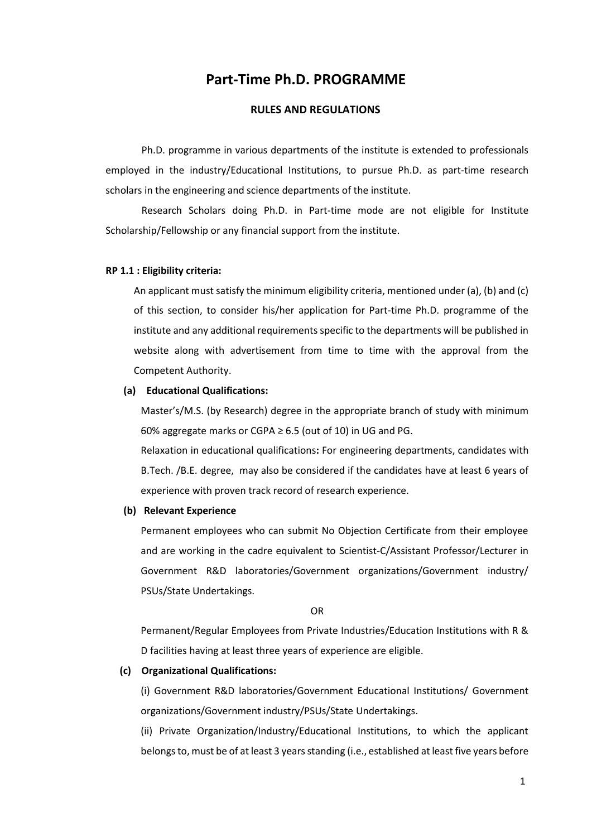# **Part-Time Ph.D. PROGRAMME**

## **RULES AND REGULATIONS**

Ph.D. programme in various departments of the institute is extended to professionals employed in the industry/Educational Institutions, to pursue Ph.D. as part-time research scholars in the engineering and science departments of the institute.

Research Scholars doing Ph.D. in Part-time mode are not eligible for Institute Scholarship/Fellowship or any financial support from the institute.

#### **RP 1.1 : Eligibility criteria:**

An applicant must satisfy the minimum eligibility criteria, mentioned under (a), (b) and (c) of this section, to consider his/her application for Part-time Ph.D. programme of the institute and any additional requirements specific to the departments will be published in website along with advertisement from time to time with the approval from the Competent Authority.

#### **(a) Educational Qualifications:**

Master's/M.S. (by Research) degree in the appropriate branch of study with minimum 60% aggregate marks or CGPA  $\geq$  6.5 (out of 10) in UG and PG.

Relaxation in educational qualifications**:** For engineering departments, candidates with B.Tech. /B.E. degree, may also be considered if the candidates have at least 6 years of experience with proven track record of research experience.

#### **(b) Relevant Experience**

Permanent employees who can submit No Objection Certificate from their employee and are working in the cadre equivalent to Scientist-C/Assistant Professor/Lecturer in Government R&D laboratories/Government organizations/Government industry/ PSUs/State Undertakings.

OR

Permanent/Regular Employees from Private Industries/Education Institutions with R & D facilities having at least three years of experience are eligible.

#### **(c) Organizational Qualifications:**

(i) Government R&D laboratories/Government Educational Institutions/ Government organizations/Government industry/PSUs/State Undertakings.

(ii) Private Organization/Industry/Educational Institutions, to which the applicant belongs to, must be of at least 3 years standing (i.e., established at least five years before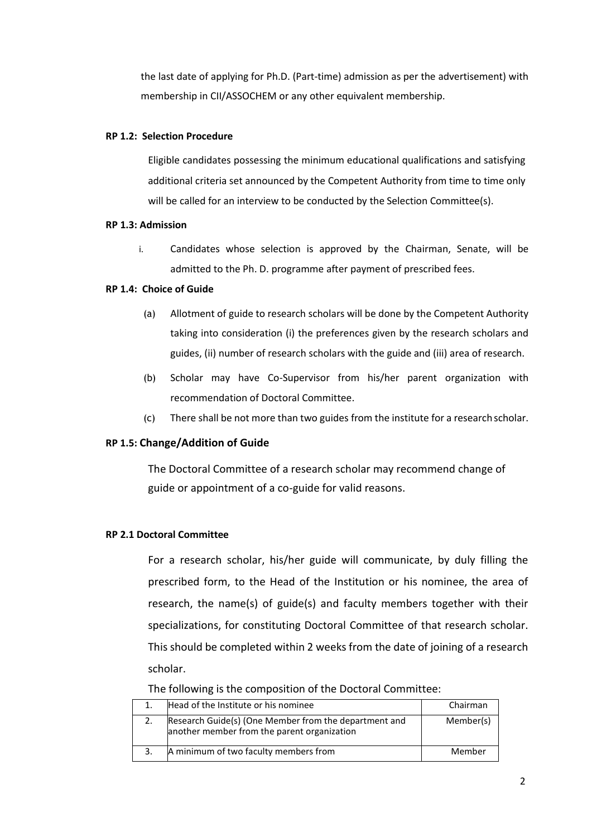the last date of applying for Ph.D. (Part-time) admission as per the advertisement) with membership in CII/ASSOCHEM or any other equivalent membership.

## **RP 1.2: Selection Procedure**

Eligible candidates possessing the minimum educational qualifications and satisfying additional criteria set announced by the Competent Authority from time to time only will be called for an interview to be conducted by the Selection Committee(s).

#### **RP 1.3: Admission**

i. Candidates whose selection is approved by the Chairman, Senate, will be admitted to the Ph. D. programme after payment of prescribed fees.

### **RP 1.4: Choice of Guide**

- (a) Allotment of guide to research scholars will be done by the Competent Authority taking into consideration (i) the preferences given by the research scholars and guides, (ii) number of research scholars with the guide and (iii) area of research.
- (b) Scholar may have Co-Supervisor from his/her parent organization with recommendation of Doctoral Committee.
- (c) There shall be not more than two guides from the institute for a research scholar.

## **RP 1.5: Change/Addition of Guide**

The Doctoral Committee of a research scholar may recommend change of guide or appointment of a co-guide for valid reasons.

## **RP 2.1 Doctoral Committee**

For a research scholar, his/her guide will communicate, by duly filling the prescribed form, to the Head of the Institution or his nominee, the area of research, the name(s) of guide(s) and faculty members together with their specializations, for constituting Doctoral Committee of that research scholar. This should be completed within 2 weeks from the date of joining of a research scholar.

The following is the composition of the Doctoral Committee:

|    | Head of the Institute or his nominee                                                                 | Chairman  |
|----|------------------------------------------------------------------------------------------------------|-----------|
| 2. | Research Guide(s) (One Member from the department and<br>another member from the parent organization | Member(s) |
| 3. | A minimum of two faculty members from                                                                | Member    |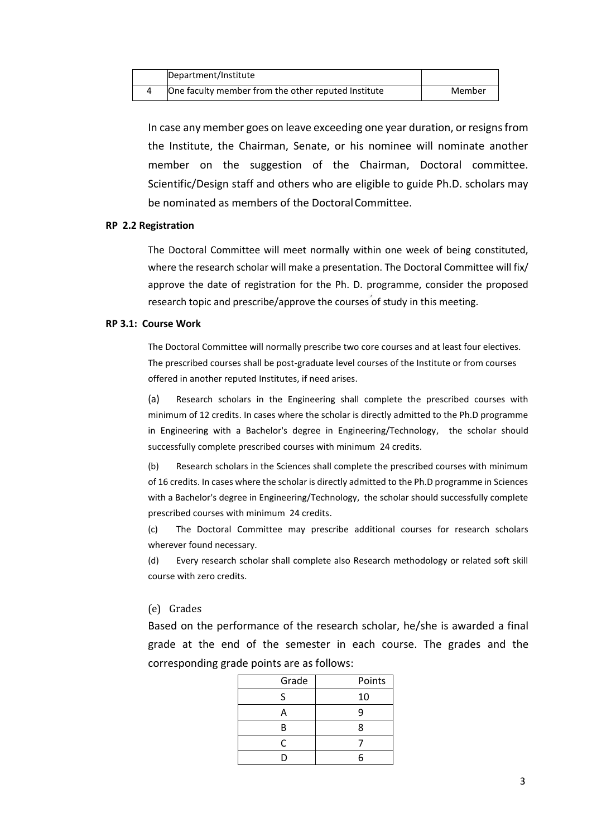| Department/Institute                                |        |
|-----------------------------------------------------|--------|
| One faculty member from the other reputed Institute | Member |

In case any member goes on leave exceeding one year duration, or resigns from the Institute, the Chairman, Senate, or his nominee will nominate another member on the suggestion of the Chairman, Doctoral committee. Scientific/Design staff and others who are eligible to guide Ph.D. scholars may be nominated as members of the DoctoralCommittee.

#### **RP 2.2 Registration**

The Doctoral Committee will meet normally within one week of being constituted, where the research scholar will make a presentation. The Doctoral Committee will fix/ approve the date of registration for the Ph. D. programme, consider the proposed research topic and prescribe/approve the courses of study in this meeting.

#### **RP 3.1: Course Work**

The Doctoral Committee will normally prescribe two core courses and at least four electives. The prescribed courses shall be post-graduate level courses of the Institute or from courses offered in another reputed Institutes, if need arises.

(a) Research scholars in the Engineering shall complete the prescribed courses with minimum of 12 credits. In cases where the scholar is directly admitted to the Ph.D programme in Engineering with a Bachelor's degree in Engineering/Technology, the scholar should successfully complete prescribed courses with minimum 24 credits.

(b) Research scholars in the Sciences shall complete the prescribed courses with minimum of 16 credits. In cases where the scholar is directly admitted to the Ph.D programme in Sciences with a Bachelor's degree in Engineering/Technology, the scholar should successfully complete prescribed courses with minimum 24 credits.

(c) The Doctoral Committee may prescribe additional courses for research scholars wherever found necessary.

(d) Every research scholar shall complete also Research methodology or related soft skill course with zero credits.

#### (e) Grades

Based on the performance of the research scholar, he/she is awarded a final grade at the end of the semester in each course. The grades and the corresponding grade points are as follows:

| Grade | Points |
|-------|--------|
| ς     | 10     |
| A     | q      |
| В     | 8      |
| C     |        |
|       | հ      |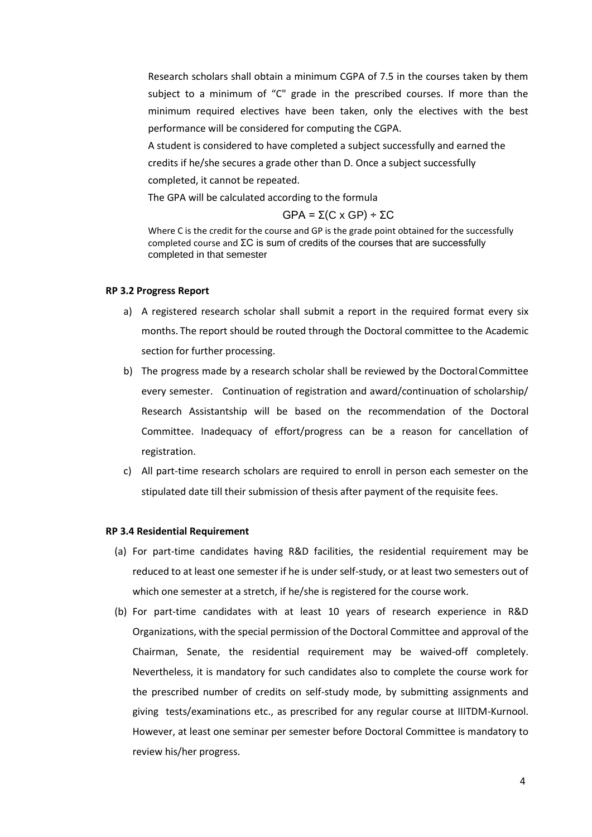Research scholars shall obtain a minimum CGPA of 7.5 in the courses taken by them subject to a minimum of "C" grade in the prescribed courses. If more than the minimum required electives have been taken, only the electives with the best performance will be considered for computing the CGPA.

A student is considered to have completed a subject successfully and earned the credits if he/she secures a grade other than D. Once a subject successfully completed, it cannot be repeated.

The GPA will be calculated according to the formula

$$
GPA = \Sigma(C \times GP) \div \Sigma C
$$

Where C is the credit for the course and GP is the grade point obtained for the successfully completed course and ΣC is sum of credits of the courses that are successfully completed in that semester

#### **RP 3.2 Progress Report**

- a) A registered research scholar shall submit a report in the required format every six months. The report should be routed through the Doctoral committee to the Academic section for further processing.
- b) The progress made by a research scholar shall be reviewed by the DoctoralCommittee every semester. Continuation of registration and award/continuation of scholarship/ Research Assistantship will be based on the recommendation of the Doctoral Committee. Inadequacy of effort/progress can be a reason for cancellation of registration.
- c) All part-time research scholars are required to enroll in person each semester on the stipulated date till their submission of thesis after payment of the requisite fees.

#### **RP 3.4 Residential Requirement**

- (a) For part-time candidates having R&D facilities, the residential requirement may be reduced to at least one semester if he is under self-study, or at least two semesters out of which one semester at a stretch, if he/she is registered for the course work.
- (b) For part-time candidates with at least 10 years of research experience in R&D Organizations, with the special permission of the Doctoral Committee and approval of the Chairman, Senate, the residential requirement may be waived-off completely. Nevertheless, it is mandatory for such candidates also to complete the course work for the prescribed number of credits on self-study mode, by submitting assignments and giving tests/examinations etc., as prescribed for any regular course at IIITDM-Kurnool. However, at least one seminar per semester before Doctoral Committee is mandatory to review his/her progress.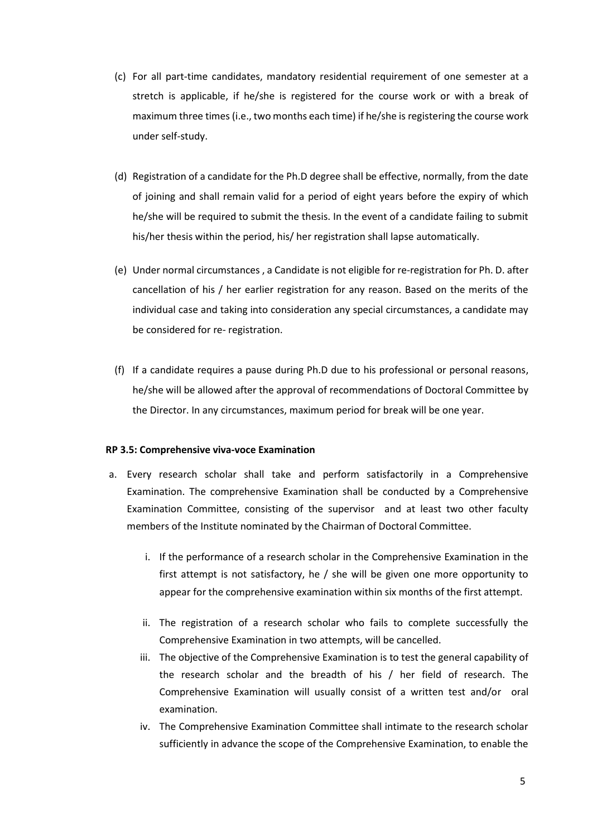- (c) For all part-time candidates, mandatory residential requirement of one semester at a stretch is applicable, if he/she is registered for the course work or with a break of maximum three times (i.e., two months each time) if he/she is registering the course work under self-study.
- (d) Registration of a candidate for the Ph.D degree shall be effective, normally, from the date of joining and shall remain valid for a period of eight years before the expiry of which he/she will be required to submit the thesis. In the event of a candidate failing to submit his/her thesis within the period, his/ her registration shall lapse automatically.
- (e) Under normal circumstances , a Candidate is not eligible for re-registration for Ph. D. after cancellation of his / her earlier registration for any reason. Based on the merits of the individual case and taking into consideration any special circumstances, a candidate may be considered for re- registration.
- (f) If a candidate requires a pause during Ph.D due to his professional or personal reasons, he/she will be allowed after the approval of recommendations of Doctoral Committee by the Director. In any circumstances, maximum period for break will be one year.

## **RP 3.5: Comprehensive viva-voce Examination**

- a. Every research scholar shall take and perform satisfactorily in a Comprehensive Examination. The comprehensive Examination shall be conducted by a Comprehensive Examination Committee, consisting of the supervisor and at least two other faculty members of the Institute nominated by the Chairman of Doctoral Committee.
	- i. If the performance of a research scholar in the Comprehensive Examination in the first attempt is not satisfactory, he / she will be given one more opportunity to appear for the comprehensive examination within six months of the first attempt.
	- ii. The registration of a research scholar who fails to complete successfully the Comprehensive Examination in two attempts, will be cancelled.
	- iii. The objective of the Comprehensive Examination is to test the general capability of the research scholar and the breadth of his / her field of research. The Comprehensive Examination will usually consist of a written test and/or oral examination.
	- iv. The Comprehensive Examination Committee shall intimate to the research scholar sufficiently in advance the scope of the Comprehensive Examination, to enable the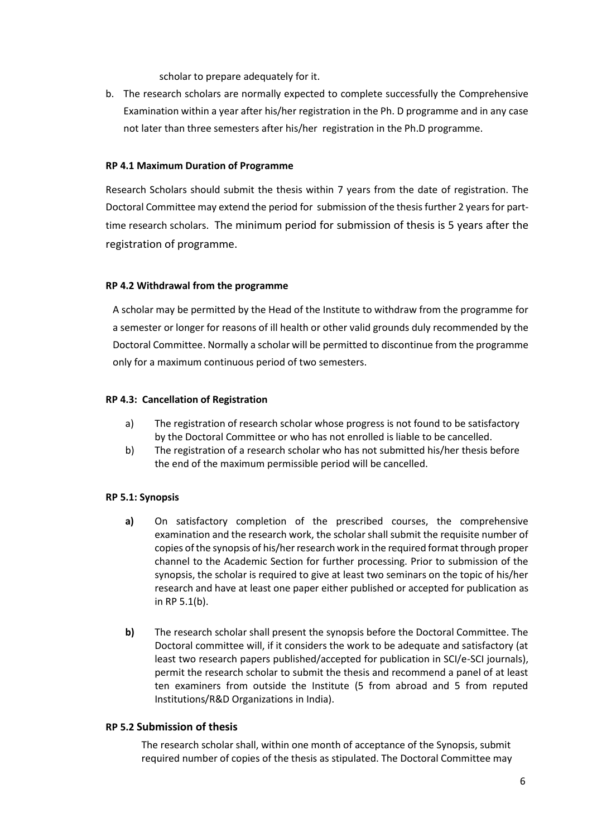scholar to prepare adequately for it.

b. The research scholars are normally expected to complete successfully the Comprehensive Examination within a year after his/her registration in the Ph. D programme and in any case not later than three semesters after his/her registration in the Ph.D programme.

## **RP 4.1 Maximum Duration of Programme**

Research Scholars should submit the thesis within 7 years from the date of registration. The Doctoral Committee may extend the period for submission of the thesis further 2 years for parttime research scholars. The minimum period for submission of thesis is 5 years after the registration of programme.

## **RP 4.2 Withdrawal from the programme**

A scholar may be permitted by the Head of the Institute to withdraw from the programme for a semester or longer for reasons of ill health or other valid grounds duly recommended by the Doctoral Committee. Normally a scholar will be permitted to discontinue from the programme only for a maximum continuous period of two semesters.

## **RP 4.3: Cancellation of Registration**

- a) The registration of research scholar whose progress is not found to be satisfactory by the Doctoral Committee or who has not enrolled is liable to be cancelled.
- b) The registration of a research scholar who has not submitted his/her thesis before the end of the maximum permissible period will be cancelled.

## **RP 5.1: Synopsis**

- **a)** On satisfactory completion of the prescribed courses, the comprehensive examination and the research work, the scholar shall submit the requisite number of copies of the synopsis of his/her research work in the required format through proper channel to the Academic Section for further processing. Prior to submission of the synopsis, the scholar is required to give at least two seminars on the topic of his/her research and have at least one paper either published or accepted for publication as in RP 5.1(b).
- **b)** The research scholar shall present the synopsis before the Doctoral Committee. The Doctoral committee will, if it considers the work to be adequate and satisfactory (at least two research papers published/accepted for publication in SCI/e-SCI journals), permit the research scholar to submit the thesis and recommend a panel of at least ten examiners from outside the Institute (5 from abroad and 5 from reputed Institutions/R&D Organizations in India).

## **RP 5.2 Submission of thesis**

The research scholar shall, within one month of acceptance of the Synopsis, submit required number of copies of the thesis as stipulated. The Doctoral Committee may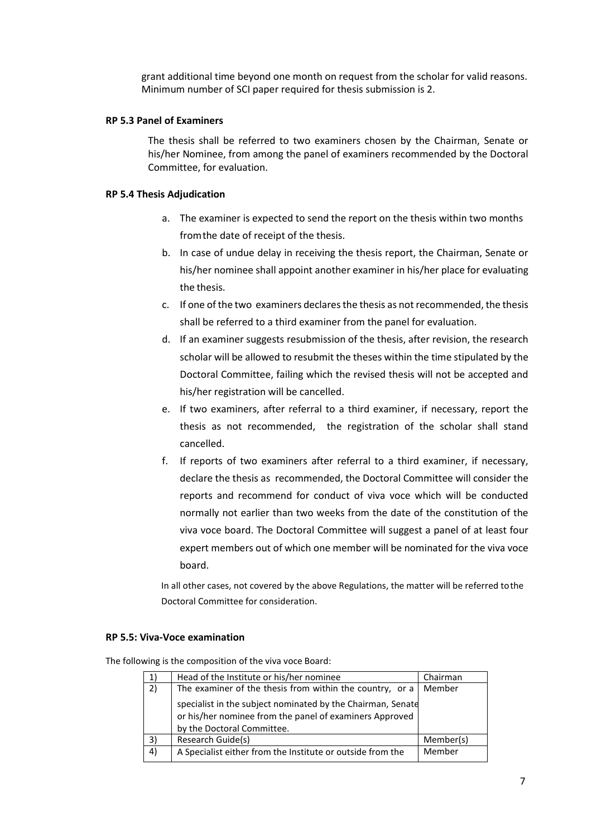grant additional time beyond one month on request from the scholar for valid reasons. Minimum number of SCI paper required for thesis submission is 2.

### **RP 5.3 Panel of Examiners**

The thesis shall be referred to two examiners chosen by the Chairman, Senate or his/her Nominee, from among the panel of examiners recommended by the Doctoral Committee, for evaluation.

### **RP 5.4 Thesis Adjudication**

- a. The examiner is expected to send the report on the thesis within two months fromthe date of receipt of the thesis.
- b. In case of undue delay in receiving the thesis report, the Chairman, Senate or his/her nominee shall appoint another examiner in his/her place for evaluating the thesis.
- c. If one of the two examiners declares the thesis as not recommended, the thesis shall be referred to a third examiner from the panel for evaluation.
- d. If an examiner suggests resubmission of the thesis, after revision, the research scholar will be allowed to resubmit the theses within the time stipulated by the Doctoral Committee, failing which the revised thesis will not be accepted and his/her registration will be cancelled.
- e. If two examiners, after referral to a third examiner, if necessary, report the thesis as not recommended, the registration of the scholar shall stand cancelled.
- f. If reports of two examiners after referral to a third examiner, if necessary, declare the thesis as recommended, the Doctoral Committee will consider the reports and recommend for conduct of viva voce which will be conducted normally not earlier than two weeks from the date of the constitution of the viva voce board. The Doctoral Committee will suggest a panel of at least four expert members out of which one member will be nominated for the viva voce board.

In all other cases, not covered by the above Regulations, the matter will be referred tothe Doctoral Committee for consideration.

## **RP 5.5: Viva-Voce examination**

The following is the composition of the viva voce Board:

|    | Head of the Institute or his/her nominee                                                                                                             | Chairman  |
|----|------------------------------------------------------------------------------------------------------------------------------------------------------|-----------|
| 2) | The examiner of the thesis from within the country, or a                                                                                             | Member    |
|    | specialist in the subject nominated by the Chairman, Senate<br>or his/her nominee from the panel of examiners Approved<br>by the Doctoral Committee. |           |
| 3) | Research Guide(s)                                                                                                                                    | Member(s) |
| 4) | A Specialist either from the Institute or outside from the                                                                                           | Member    |
|    |                                                                                                                                                      |           |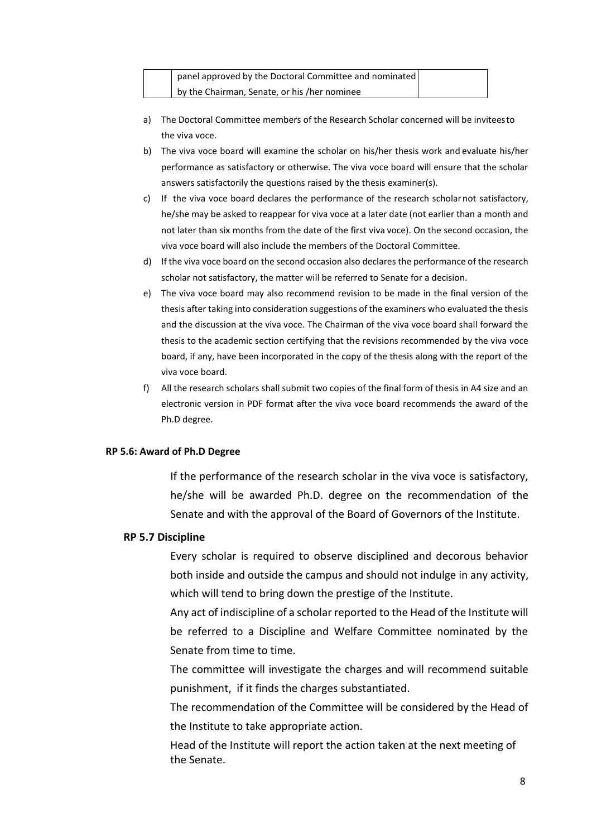| panel approved by the Doctoral Committee and nominated |  |
|--------------------------------------------------------|--|
| by the Chairman, Senate, or his /her nominee           |  |

- a) The Doctoral Committee members of the Research Scholar concerned will be inviteesto the viva voce.
- b) The viva voce board will examine the scholar on his/her thesis work and evaluate his/her performance as satisfactory or otherwise. The viva voce board will ensure that the scholar answers satisfactorily the questions raised by the thesis examiner(s).
- c) If the viva voce board declares the performance of the research scholarnot satisfactory, he/she may be asked to reappear for viva voce at a later date (not earlier than a month and not later than six months from the date of the first viva voce). On the second occasion, the viva voce board will also include the members of the Doctoral Committee.
- d) If the viva voce board on the second occasion also declares the performance of the research scholar not satisfactory, the matter will be referred to Senate for a decision.
- e) The viva voce board may also recommend revision to be made in the final version of the thesis after taking into consideration suggestions of the examiners who evaluated the thesis and the discussion at the viva voce. The Chairman of the viva voce board shall forward the thesis to the academic section certifying that the revisions recommended by the viva voce board, if any, have been incorporated in the copy of the thesis along with the report of the viva voce board.
- f) All the research scholars shall submit two copies of the final form of thesis in A4 size and an electronic version in PDF format after the viva voce board recommends the award of the Ph.D degree.

## **RP 5.6: Award of Ph.D Degree**

If the performance of the research scholar in the viva voce is satisfactory, he/she will be awarded Ph.D. degree on the recommendation of the Senate and with the approval of the Board of Governors of the Institute.

## **RP 5.7 Discipline**

Every scholar is required to observe disciplined and decorous behavior both inside and outside the campus and should not indulge in any activity, which will tend to bring down the prestige of the Institute.

Any act of indiscipline of a scholar reported to the Head of the Institute will be referred to a Discipline and Welfare Committee nominated by the Senate from time to time.

The committee will investigate the charges and will recommend suitable punishment, if it finds the charges substantiated.

The recommendation of the Committee will be considered by the Head of the Institute to take appropriate action.

Head of the Institute will report the action taken at the next meeting of the Senate.